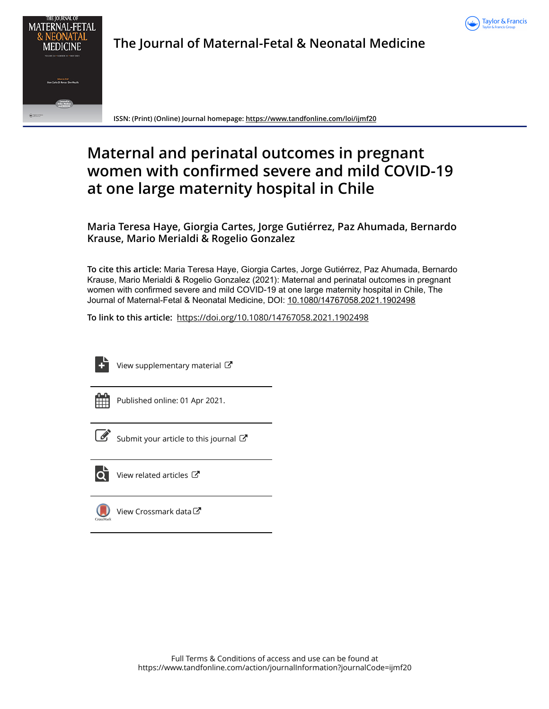



The Journal of Maternal-Fetal & Neonatal Medicine

ISSN: (Print) (Online) Journal homepage: https://www.tandfonline.com/loi/ijmf20

# Maternal and perinatal outcomes in pregnant women with confirmed severe and mild COVID-19 at one large maternity hospital in Chile

Maria Teresa Haye, Giorgia Cartes, Jorge Gutiérrez, Paz Ahumada, Bernardo Krause, Mario Merialdi & Rogelio Gonzalez

To cite this article: Maria Teresa Haye, Giorgia Cartes, Jorge Gutiérrez, Paz Ahumada, Bernardo Krause, Mario Merialdi & Rogelio Gonzalez (2021): Maternal and perinatal outcomes in pregnant women with confirmed severe and mild COVID-19 at one large maternity hospital in Chile, The Journal of Maternal-Fetal & Neonatal Medicine, DOI: 10.1080/14767058.2021.1902498

To link to this article: https://doi.org/10.1080/14767058.2021.1902498



View supplementary material  $\mathbb{Z}$ 

| - | _ |  |
|---|---|--|
|   |   |  |
|   |   |  |
|   |   |  |

Published online: 01 Apr 2021.

| _____ |
|-------|
|       |
|       |
| I     |
|       |

 $\hat{S}$  Submit your article to this journal  $\mathbb{Z}^{\bullet}$ 



 $\overrightarrow{O}$  View related articles  $\overrightarrow{C}$ 



 $\bigcup$  View Crossmark data  $\mathbb{Z}$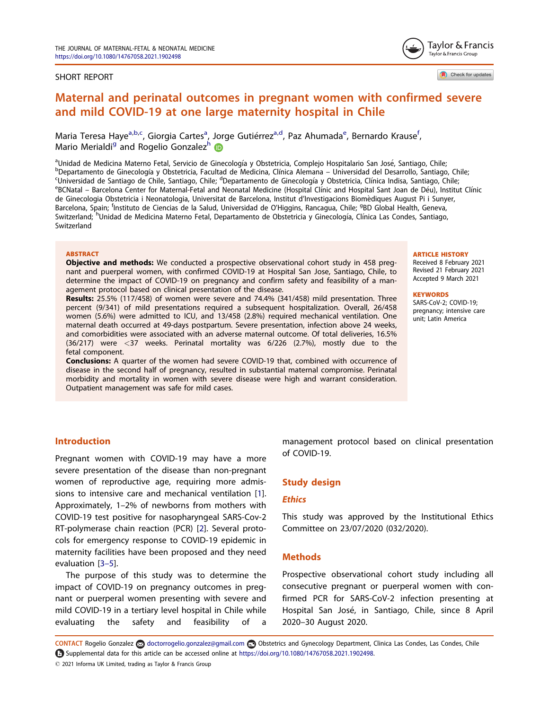#### SHORT REPORT

Check for updates

Taylor & Francis Taylor & Francis Group

## Maternal and perinatal outcomes in pregnant women with confirmed severe and mild COVID-19 at one large maternity hospital in Chile

Maria Teresa Haye<sup>a,b,c</sup>, Giorgia Cartes<sup>a</sup>, Jorge Gutiérrez<sup>a,d</sup>, Paz Ahumada<sup>e</sup>, Bernardo Krause<sup>f</sup>, Mario Merialdi<sup>g</sup> and Rogelio Gonzalezh

aUnidad de Medicina Materno Fetal, Servicio de Ginecología y Obstetricia, Complejo Hospitalario San José, Santiago, Chile;<br>PDopartamento de Ginecología y Obstetricia, Eacultad de Medicina, Clínica Alemana - Universidad del <sup>b</sup>Departamento de Ginecología y Obstetricia, Facultad de Medicina, Clínica Alemana – Universidad del Desarrollo, Santiago, Chile; Universidad de Santiago de Chile, Santiago, Chile; <sup>d</sup>Departamento de Ginecología y Obstetricia, Clínica Indisa, Santiago, Chile;<br><sup>e</sup>RCNatal - Barcelona Contor for Maternal-Estal and Neonatal Medicino (Hespital Clínic and eBCNatal – Barcelona Center for Maternal-Fetal and Neonatal Medicine (Hospital Clínic and Hospital Sant Joan de Déu), Institut Clínic de Ginecologia Obstetricia i Neonatologia, Universitat de Barcelona, Institut d'Investigacions Biomèdiques August Pi i Sunyer, Barcelona, Spain; <sup>f</sup>Instituto de Ciencias de la Salud, Universidad de O'Higgins, Rancagua, Chile; <sup>g</sup>BD Global Health, Geneva, Switzerland; <sup>h</sup>Unidad de Medicina Materno Fetal, Departamento de Obstetricia y Ginecología, Clínica Las Condes, Santiago, Switzerland

#### **ABSTRACT**

**Objective and methods:** We conducted a prospective observational cohort study in 458 pregnant and puerperal women, with confirmed COVID-19 at Hospital San Jose, Santiago, Chile, to determine the impact of COVID-19 on pregnancy and confirm safety and feasibility of a management protocol based on clinical presentation of the disease.

Results: 25.5% (117/458) of women were severe and 74.4% (341/458) mild presentation. Three percent (9/341) of mild presentations required a subsequent hospitalization. Overall, 26/458 women (5.6%) were admitted to ICU, and 13/458 (2.8%) required mechanical ventilation. One maternal death occurred at 49-days postpartum. Severe presentation, infection above 24 weeks, and comorbidities were associated with an adverse maternal outcome. Of total deliveries, 16.5% (36/217) were <37 weeks. Perinatal mortality was 6/226 (2.7%), mostly due to the fetal component.

**Conclusions:** A quarter of the women had severe COVID-19 that, combined with occurrence of disease in the second half of pregnancy, resulted in substantial maternal compromise. Perinatal morbidity and mortality in women with severe disease were high and warrant consideration. Outpatient management was safe for mild cases.

#### **ARTICLE HISTORY**

Received 8 February 2021 Revised 21 February 2021 Accepted 9 March 2021

#### **KEYWORDS**

SARS-CoV-2; COVID-19; pregnancy; intensive care unit; Latin America

## Introduction

Pregnant women with COVID-19 may have a more severe presentation of the disease than non-pregnant women of reproductive age, requiring more admissions to intensive care and mechanical ventilation [1]. Approximately, 1–2% of newborns from mothers with COVID-19 test positive for nasopharyngeal SARS-Cov-2 RT-polymerase chain reaction (PCR) [2]. Several protocols for emergency response to COVID-19 epidemic in maternity facilities have been proposed and they need evaluation [3–5].

The purpose of this study was to determine the impact of COVID-19 on pregnancy outcomes in pregnant or puerperal women presenting with severe and mild COVID-19 in a tertiary level hospital in Chile while evaluating the safety and feasibility of a

management protocol based on clinical presentation of COVID-19.

## Study design

## **Ethics**

This study was approved by the Institutional Ethics Committee on 23/07/2020 (032/2020).

## Methods

Prospective observational cohort study including all consecutive pregnant or puerperal women with confirmed PCR for SARS-CoV-2 infection presenting at Hospital San José, in Santiago, Chile, since 8 April 2020–30 August 2020.

CONTACT Rogelio Gonzalez doctorrogelio.gonzalez@gmail.com Obstetrics and Gynecology Department, Clinica Las Condes, Las Condes, Chile Supplemental data for this article can be accessed online at https://doi.org/10.1080/14767058.2021.1902498.

 $©$  2021 Informa UK Limited, trading as Taylor & Francis Group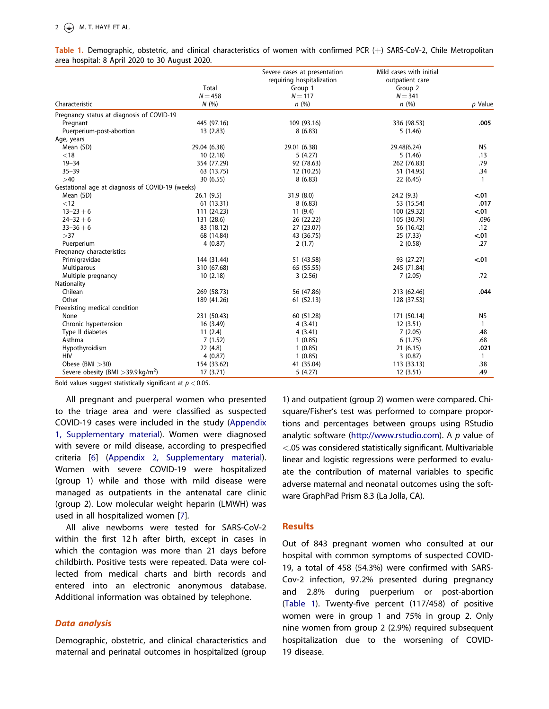|                                                  |              | Severe cases at presentation | Mild cases with initial |              |
|--------------------------------------------------|--------------|------------------------------|-------------------------|--------------|
|                                                  |              | requiring hospitalization    | outpatient care         |              |
|                                                  | Total        | Group 1                      | Group 2                 |              |
|                                                  | $N = 458$    | $N = 117$                    | $N = 341$               |              |
| Characteristic                                   | N(%)         | n(%)                         | n(%)                    | p Value      |
| Pregnancy status at diagnosis of COVID-19        |              |                              |                         |              |
| Pregnant                                         | 445 (97.16)  | 109 (93.16)                  | 336 (98.53)             | .005         |
| Puerperium-post-abortion                         | 13(2.83)     | 8(6.83)                      | 5(1.46)                 |              |
| Age, years                                       |              |                              |                         |              |
| Mean (SD)                                        | 29.04 (6.38) | 29.01 (6.38)                 | 29.48(6.24)             | NS.          |
| $<$ 18                                           | 10(2.18)     | 5(4.27)                      | 5(1.46)                 | .13          |
| $19 - 34$                                        | 354 (77.29)  | 92 (78.63)                   | 262 (76.83)             | .79          |
| $35 - 39$                                        | 63 (13.75)   | 12 (10.25)                   | 51 (14.95)              | .34          |
| >40                                              | 30 (6.55)    | 8(6.83)                      | 22 (6.45)               | $\mathbf{1}$ |
| Gestational age at diagnosis of COVID-19 (weeks) |              |                              |                         |              |
| Mean (SD)                                        | 26.1(9.5)    | 31.9(8.0)                    | 24.2(9.3)               | $-.01$       |
| $<$ 12                                           | 61 (13.31)   | 8(6.83)                      | 53 (15.54)              | .017         |
| $13 - 23 + 6$                                    | 111 (24.23)  | 11(9.4)                      | 100 (29.32)             | $-.01$       |
| $24 - 32 + 6$                                    | 131 (28.6)   | 26 (22.22)                   | 105 (30.79)             | .096         |
| $33 - 36 + 6$                                    | 83 (18.12)   | 27 (23.07)                   | 56 (16.42)              | .12          |
| >37                                              | 68 (14.84)   | 43 (36.75)                   | 25(7.33)                | < .01        |
| Puerperium                                       | 4(0.87)      | 2(1.7)                       | 2(0.58)                 | .27          |
| Pregnancy characteristics                        |              |                              |                         |              |
| Primigravidae                                    | 144 (31.44)  | 51 (43.58)                   | 93 (27.27)              | $-.01$       |
| Multiparous                                      | 310 (67.68)  | 65 (55.55)                   | 245 (71.84)             |              |
| Multiple pregnancy                               | 10(2.18)     | 3(2.56)                      | 7(2.05)                 | .72          |
| Nationality                                      |              |                              |                         |              |
| Chilean                                          | 269 (58.73)  | 56 (47.86)                   | 213 (62.46)             | .044         |
| Other                                            | 189 (41.26)  | 61 (52.13)                   | 128 (37.53)             |              |
| Preexisting medical condition                    |              |                              |                         |              |
| None                                             | 231 (50.43)  | 60 (51.28)                   | 171 (50.14)             | NS.          |
| Chronic hypertension                             | 16(3.49)     | 4(3.41)                      | 12(3.51)                | $\mathbf{1}$ |
| Type II diabetes                                 | 11(2.4)      | 4(3.41)                      | 7(2.05)                 | .48          |
| Asthma                                           | 7(1.52)      | 1(0.85)                      | 6(1.75)                 | .68          |
| Hypothyroidism                                   | 22(4.8)      | 1(0.85)                      | 21(6.15)                | .021         |
| <b>HIV</b>                                       | 4(0.87)      | 1(0.85)                      | 3(0.87)                 | $\mathbf{1}$ |
| Obese (BMI $>30$ )                               | 154 (33.62)  | 41 (35.04)                   | 113 (33.13)             | .38          |
| Severe obesity (BMI $>$ 39.9 kg/m <sup>2</sup> ) | 17 (3.71)    | 5(4.27)                      | 12(3.51)                | .49          |

Table 1. Demographic, obstetric, and clinical characteristics of women with confirmed PCR  $(+)$  SARS-CoV-2, Chile Metropolitan area hospital: 8 April 2020 to 30 August 2020.

Bold values suggest statistically significant at  $p < 0.05$ .

All pregnant and puerperal women who presented to the triage area and were classified as suspected COVID-19 cases were included in the study (Appendix 1, Supplementary material). Women were diagnosed with severe or mild disease, according to prespecified criteria [6] (Appendix 2, Supplementary material). Women with severe COVID-19 were hospitalized (group 1) while and those with mild disease were managed as outpatients in the antenatal care clinic (group 2). Low molecular weight heparin (LMWH) was used in all hospitalized women [7].

All alive newborns were tested for SARS-CoV-2 within the first 12h after birth, except in cases in which the contagion was more than 21 days before childbirth. Positive tests were repeated. Data were collected from medical charts and birth records and entered into an electronic anonymous database. Additional information was obtained by telephone.

## Data analysis

Demographic, obstetric, and clinical characteristics and maternal and perinatal outcomes in hospitalized (group

1) and outpatient (group 2) women were compared. Chisquare/Fisher's test was performed to compare proportions and percentages between groups using RStudio analytic software (http://www.rstudio.com). A  $p$  value of <.05 was considered statistically significant. Multivariable linear and logistic regressions were performed to evaluate the contribution of maternal variables to specific adverse maternal and neonatal outcomes using the software GraphPad Prism 8.3 (La Jolla, CA).

## Results

Out of 843 pregnant women who consulted at our hospital with common symptoms of suspected COVID-19, a total of 458 (54.3%) were confirmed with SARS-Cov-2 infection, 97.2% presented during pregnancy and 2.8% during puerperium or post-abortion (Table 1). Twenty-five percent (117/458) of positive women were in group 1 and 75% in group 2. Only nine women from group 2 (2.9%) required subsequent hospitalization due to the worsening of COVID-19 disease.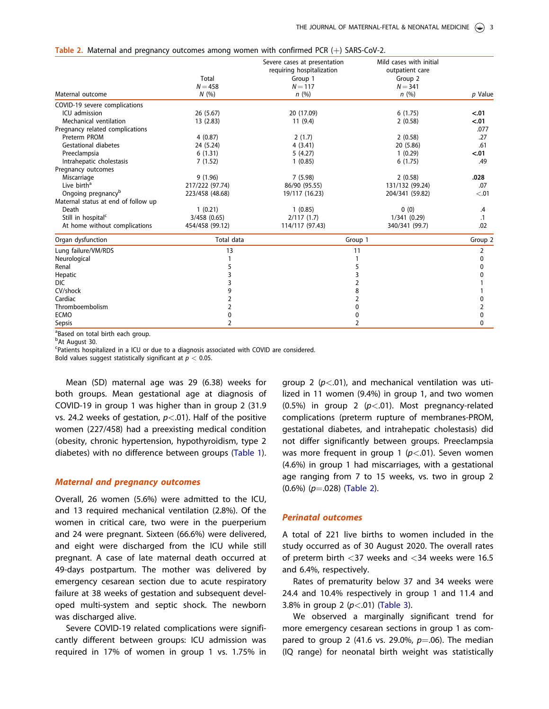|  | Table 2. Maternal and pregnancy outcomes among women with confirmed PCR $(+)$ SARS-CoV-2. |  |  |  |  |  |
|--|-------------------------------------------------------------------------------------------|--|--|--|--|--|
|  |                                                                                           |  |  |  |  |  |

| Maternal outcome<br>COVID-19 severe complications<br>ICU admission<br>Mechanical ventilation<br>Pregnancy related complications<br>Preterm PROM | Total<br>$N = 458$<br>N(%<br>26 (5.67)<br>13 (2.83)<br>4(0.87) | Severe cases at presentation<br>requiring hospitalization<br>Group 1<br>$N = 117$<br>n(%)<br>20 (17.09)<br>11(9.4)<br>2(1.7) | Mild cases with initial<br>outpatient care<br>Group 2<br>$N = 341$<br>n(%)<br>6(1.75)<br>2(0.58)<br>2(0.58) | p Value<br>< .01<br>< .01<br>.077<br>.27 |  |
|-------------------------------------------------------------------------------------------------------------------------------------------------|----------------------------------------------------------------|------------------------------------------------------------------------------------------------------------------------------|-------------------------------------------------------------------------------------------------------------|------------------------------------------|--|
| <b>Gestational diabetes</b>                                                                                                                     | 24 (5.24)                                                      | 4(3.41)                                                                                                                      | 20 (5.86)                                                                                                   | .61                                      |  |
| Preeclampsia<br>Intrahepatic cholestasis<br>Pregnancy outcomes                                                                                  | 6(1.31)<br>7(1.52)                                             | 5(4.27)<br>1(0.85)                                                                                                           | 1(0.29)<br>6(1.75)                                                                                          | < .01<br>.49                             |  |
| Miscarriage<br>Live birth <sup>a</sup><br>Ongoing pregnancy <sup>b</sup><br>Maternal status at end of follow up                                 | 9(1.96)<br>217/222 (97.74)<br>223/458 (48.68)                  | 7(5.98)<br>86/90 (95.55)<br>19/117 (16.23)                                                                                   | 2(0.58)<br>131/132 (99.24)<br>204/341 (59.82)                                                               | .028<br>.07<br>< 0.01                    |  |
| Death<br>Still in hospital <sup>c</sup><br>At home without complications                                                                        | 1(0.21)<br>3/458 (0.65)<br>454/458 (99.12)                     | 1(0.85)<br>2/117(1.7)<br>114/117 (97.43)                                                                                     | 0(0)<br>1/341(0.29)<br>340/341 (99.7)                                                                       | .4<br>$\cdot$ 1<br>.02                   |  |
| Organ dysfunction                                                                                                                               | <b>Total data</b>                                              | Group 1                                                                                                                      |                                                                                                             | Group 2                                  |  |
| Lung failure/VM/RDS<br>Neurological<br>Renal<br>Hepatic<br><b>DIC</b><br>CV/shock<br>Cardiac<br>Thromboembolism<br><b>ECMO</b><br>Sepsis        | 13<br>5<br>3<br>3<br>9<br>2<br>2<br>0<br>2                     |                                                                                                                              | 11<br>5<br>3<br>2<br>8<br>2<br>0<br>0<br>2                                                                  |                                          |  |

<sup>a</sup>Based on total birth each group.

<sup>b</sup>At August 30.

c Patients hospitalized in a ICU or due to a diagnosis associated with COVID are considered.

Bold values suggest statistically significant at  $p < 0.05$ .

Mean (SD) maternal age was 29 (6.38) weeks for both groups. Mean gestational age at diagnosis of COVID-19 in group 1 was higher than in group 2 (31.9 vs. 24.2 weeks of gestation,  $p < .01$ ). Half of the positive women (227/458) had a preexisting medical condition (obesity, chronic hypertension, hypothyroidism, type 2 diabetes) with no difference between groups (Table 1).

#### Maternal and pregnancy outcomes

Overall, 26 women (5.6%) were admitted to the ICU, and 13 required mechanical ventilation (2.8%). Of the women in critical care, two were in the puerperium and 24 were pregnant. Sixteen (66.6%) were delivered, and eight were discharged from the ICU while still pregnant. A case of late maternal death occurred at 49-days postpartum. The mother was delivered by emergency cesarean section due to acute respiratory failure at 38 weeks of gestation and subsequent developed multi-system and septic shock. The newborn was discharged alive.

Severe COVID-19 related complications were significantly different between groups: ICU admission was required in 17% of women in group 1 vs. 1.75% in

group 2 ( $p$ <.01), and mechanical ventilation was utilized in 11 women (9.4%) in group 1, and two women (0.5%) in group 2 ( $p < .01$ ). Most pregnancy-related complications (preterm rupture of membranes-PROM, gestational diabetes, and intrahepatic cholestasis) did not differ significantly between groups. Preeclampsia was more frequent in group 1 ( $p$ <.01). Seven women (4.6%) in group 1 had miscarriages, with a gestational age ranging from 7 to 15 weeks, vs. two in group 2  $(0.6\%)$  ( $p=.028$ ) (Table 2).

#### Perinatal outcomes

A total of 221 live births to women included in the study occurred as of 30 August 2020. The overall rates of preterm birth <37 weeks and <34 weeks were 16.5 and 6.4%, respectively.

Rates of prematurity below 37 and 34 weeks were 24.4 and 10.4% respectively in group 1 and 11.4 and 3.8% in group 2  $(p<.01)$  (Table 3).

We observed a marginally significant trend for more emergency cesarean sections in group 1 as compared to group 2 (41.6 vs. 29.0%,  $p=0.06$ ). The median (IQ range) for neonatal birth weight was statistically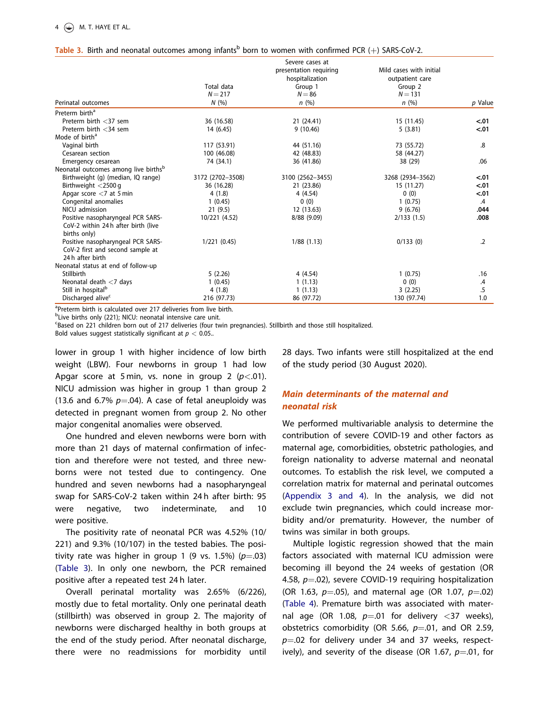## Table 3. Birth and neonatal outcomes among infants<sup>b</sup> born to women with confirmed PCR (+) SARS-CoV-2.

|                                                  |                  | Severe cases at        |                         |               |
|--------------------------------------------------|------------------|------------------------|-------------------------|---------------|
|                                                  |                  | presentation requiring | Mild cases with initial |               |
|                                                  |                  | hospitalization        | outpatient care         |               |
|                                                  | Total data       | Group 1                | Group 2                 |               |
|                                                  | $N = 217$        | $N = 86$               | $N = 131$               |               |
| Perinatal outcomes                               | N(%)             | n(%)                   | n(%)                    | p Value       |
| Preterm birth <sup>a</sup>                       |                  |                        |                         |               |
| Preterm birth $<$ 37 sem                         | 36 (16.58)       | 21 (24.41)             | 15 (11.45)              | $-.01$        |
| Preterm birth $<$ 34 sem                         | 14 (6.45)        | 9(10.46)               | 5(3.81)                 | < .01         |
| Mode of birth <sup>a</sup>                       |                  |                        |                         |               |
| Vaginal birth                                    | 117 (53.91)      | 44 (51.16)             | 73 (55.72)              | .8            |
| Cesarean section                                 | 100 (46.08)      | 42 (48.83)             | 58 (44.27)              |               |
| Emergency cesarean                               | 74 (34.1)        | 36 (41.86)             | 38 (29)                 | .06           |
| Neonatal outcomes among live births <sup>b</sup> |                  |                        |                         |               |
| Birthweight (g) (median, IQ range)               | 3172 (2702-3508) | 3100 (2562-3455)       | 3268 (2934-3562)        | < .01         |
| Birthweight $<$ 2500 g                           | 36 (16.28)       | 21 (23.86)             | 15 (11.27)              | $-.01$        |
| Apgar score $<$ 7 at 5 min                       | 4(1.8)           | 4 (4.54)               | 0(0)                    | $-.01$        |
| Congenital anomalies                             | 1(0.45)          | 0(0)                   | 1(0.75)                 | $\mathcal{A}$ |
| NICU admission                                   | 21(9.5)          | 12 (13.63)             | 9(6.76)                 | .044          |
| Positive nasopharyngeal PCR SARS-                | 10/221 (4.52)    | 8/88 (9.09)            | 2/133(1.5)              | .008          |
| CoV-2 within 24 h after birth (live              |                  |                        |                         |               |
| births only)                                     |                  |                        |                         |               |
| Positive nasopharyngeal PCR SARS-                | 1/221(0.45)      | 1/88(1.13)             | 0/133(0)                | .2            |
| CoV-2 first and second sample at                 |                  |                        |                         |               |
| 24 h after birth                                 |                  |                        |                         |               |
| Neonatal status at end of follow-up              |                  |                        |                         |               |
| Stillbirth                                       | 5(2.26)          | 4(4.54)                | 1(0.75)                 | .16           |
| Neonatal death $<$ 7 days                        | 1(0.45)          | 1(1.13)                | 0(0)                    | $\cdot$       |
| Still in hospital <sup>b</sup>                   | 4(1.8)           | 1(1.13)                | 3(2.25)                 | .5            |
| Discharged alive <sup>c</sup>                    | 216 (97.73)      | 86 (97.72)             | 130 (97.74)             | 1.0           |

<sup>a</sup>Preterm birth is calculated over 217 deliveries from live birth.

<sup>b</sup>Live births only (221); NICU: neonatal intensive care unit.

c Based on 221 children born out of 217 deliveries (four twin pregnancies). Stillbirth and those still hospitalized.

Bold values suggest statistically significant at  $p < 0.05$ .

lower in group 1 with higher incidence of low birth weight (LBW). Four newborns in group 1 had low Apgar score at 5 min, vs. none in group 2  $(p<.01)$ . NICU admission was higher in group 1 than group 2 (13.6 and 6.7%  $p=.04$ ). A case of fetal aneuploidy was detected in pregnant women from group 2. No other major congenital anomalies were observed.

One hundred and eleven newborns were born with more than 21 days of maternal confirmation of infection and therefore were not tested, and three newborns were not tested due to contingency. One hundred and seven newborns had a nasopharyngeal swap for SARS-CoV-2 taken within 24 h after birth: 95 were negative, two indeterminate, and 10 were positive.

The positivity rate of neonatal PCR was 4.52% (10/ 221) and 9.3% (10/107) in the tested babies. The positivity rate was higher in group 1 (9 vs. 1.5%) ( $p=.03$ ) (Table 3). In only one newborn, the PCR remained positive after a repeated test 24 h later.

Overall perinatal mortality was 2.65% (6/226), mostly due to fetal mortality. Only one perinatal death (stillbirth) was observed in group 2. The majority of newborns were discharged healthy in both groups at the end of the study period. After neonatal discharge, there were no readmissions for morbidity until

28 days. Two infants were still hospitalized at the end of the study period (30 August 2020).

## Main determinants of the maternal and neonatal risk

We performed multivariable analysis to determine the contribution of severe COVID-19 and other factors as maternal age, comorbidities, obstetric pathologies, and foreign nationality to adverse maternal and neonatal outcomes. To establish the risk level, we computed a correlation matrix for maternal and perinatal outcomes (Appendix 3 and 4). In the analysis, we did not exclude twin pregnancies, which could increase morbidity and/or prematurity. However, the number of twins was similar in both groups.

Multiple logistic regression showed that the main factors associated with maternal ICU admission were becoming ill beyond the 24 weeks of gestation (OR 4.58,  $p=0.02$ ), severe COVID-19 requiring hospitalization (OR 1.63,  $p=.05$ ), and maternal age (OR 1.07,  $p=.02$ ) (Table 4). Premature birth was associated with maternal age (OR 1.08,  $p=01$  for delivery <37 weeks), obstetrics comorbidity (OR 5.66,  $p=0.01$ , and OR 2.59,  $p=0.02$  for delivery under 34 and 37 weeks, respectively), and severity of the disease (OR 1.67,  $p=01$ , for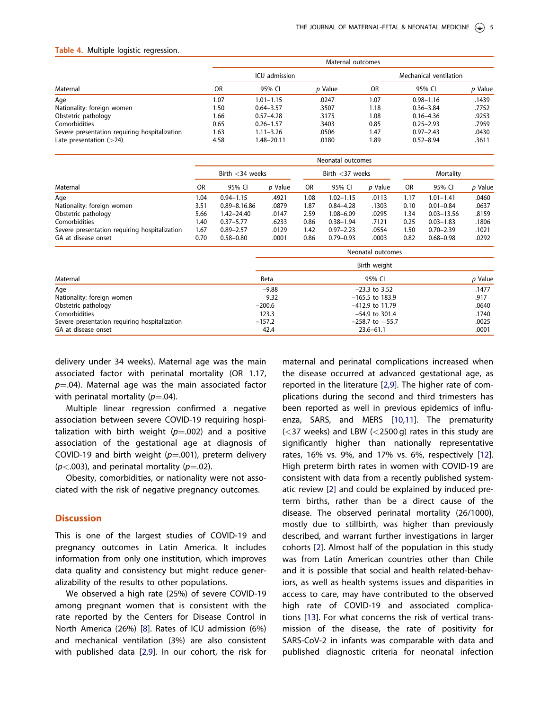#### Table 4. Multiple logistic regression.

|                                               | Maternal outcomes |               |         |                        |               |         |  |  |
|-----------------------------------------------|-------------------|---------------|---------|------------------------|---------------|---------|--|--|
|                                               |                   | ICU admission |         | Mechanical ventilation |               |         |  |  |
| Maternal                                      | <b>OR</b>         | 95% CI        | p Value | <b>OR</b>              | 95% CI        | p Value |  |  |
| Age                                           | 1.07              | $1.01 - 1.15$ | .0247   | 1.07                   | $0.98 - 1.16$ | .1439   |  |  |
| Nationality: foreign women                    | 1.50              | $0.64 - 3.57$ | .3507   | 1.18                   | $0.36 - 3.84$ | .7752   |  |  |
| Obstetric pathology                           | 1.66              | $0.57 - 4.28$ | .3175   | 1.08                   | $0.16 - 4.36$ | .9253   |  |  |
| Comorbidities                                 | 0.65              | $0.26 - 1.57$ | .3403   | 0.85                   | $0.25 - 2.93$ | .7959   |  |  |
| Severe presentation requiring hospitalization | 1.63              | $1.11 - 3.26$ | .0506   | 1.47                   | $0.97 - 2.43$ | .0430   |  |  |
| Late presentation $(>24)$                     | 4.58              | 1.48–20.11    | .0180   | 1.89                   | $0.52 - 8.94$ | .3611   |  |  |

|                                               | Neonatal outcomes  |                  |             |                     |               |                   |           |                |         |
|-----------------------------------------------|--------------------|------------------|-------------|---------------------|---------------|-------------------|-----------|----------------|---------|
|                                               | Birth $<$ 34 weeks |                  |             | Birth $<$ 37 weeks  |               |                   | Mortality |                |         |
| Maternal                                      | <b>OR</b>          | 95% CI           | p Value     | OR                  | 95% CI        | p Value           | <b>OR</b> | 95% CI         | p Value |
| Age                                           | 1.04               | $0.94 - 1.15$    | .4921       | 1.08                | $1.02 - 1.15$ | .0113             | 1.17      | $1.01 - 1.41$  | .0460   |
| Nationality: foreign women                    | 3.51               | $0.89 - 8.16.86$ | .0879       | 1.87                | $0.84 - 4.28$ | .1303             | 0.10      | $0.01 - 0.84$  | .0637   |
| Obstetric pathology                           | 5.66               | 1.42-24.40       | .0147       | 2.59                | $1.08 - 6.09$ | .0295             | 1.34      | $0.03 - 13.56$ | .8159   |
| Comorbidities                                 | 1.40               | $0.37 - 5.77$    | .6233       | 0.86                | $0.38 - 1.94$ | .7121             | 0.25      | $0.03 - 1.83$  | .1806   |
| Severe presentation requiring hospitalization | 1.67               | $0.89 - 2.57$    | .0129       | 1.42                | $0.97 - 2.23$ | .0554             | 1.50      | $0.70 - 2.39$  | .1021   |
| GA at disease onset                           | 0.70               | $0.58 - 0.80$    | .0001       | 0.86                | $0.79 - 0.93$ | .0003             | 0.82      | $0.68 - 0.98$  | .0292   |
|                                               |                    |                  |             |                     |               | Neonatal outcomes |           |                |         |
|                                               |                    |                  |             |                     |               | Birth weight      |           |                |         |
| Maternal                                      |                    |                  | <b>Beta</b> |                     |               | 95% CI            |           |                | p Value |
| Age                                           |                    |                  | $-9.88$     | $-23.3$ to 3.52     |               |                   |           |                | .1477   |
| Nationality: foreign women                    |                    | 9.32             |             | $-165.5$ to 183.9   |               |                   |           |                | .917    |
| Obstetric pathology                           |                    | $-200.6$         |             | -412.9 to 11.79     |               |                   |           |                | .0640   |
| Comorbidities                                 |                    | 123.3            |             | $-54.9$ to 301.4    |               |                   |           |                | .1740   |
| Severe presentation requiring hospitalization |                    | $-157.2$         |             | $-258.7$ to $-55.7$ |               |                   |           | .0025          |         |
| GA at disease onset                           |                    | 42.4             |             |                     | $23.6 - 61.1$ |                   |           | .0001          |         |

delivery under 34 weeks). Maternal age was the main associated factor with perinatal mortality (OR 1.17,  $p=0.04$ ). Maternal age was the main associated factor with perinatal mortality  $(p=.04)$ .

Multiple linear regression confirmed a negative association between severe COVID-19 requiring hospitalization with birth weight ( $p=0.002$ ) and a positive association of the gestational age at diagnosis of COVID-19 and birth weight ( $p=0.001$ ), preterm delivery  $(p<.003)$ , and perinatal mortality  $(p=.02)$ .

Obesity, comorbidities, or nationality were not associated with the risk of negative pregnancy outcomes.

## **Discussion**

This is one of the largest studies of COVID-19 and pregnancy outcomes in Latin America. It includes information from only one institution, which improves data quality and consistency but might reduce generalizability of the results to other populations.

We observed a high rate (25%) of severe COVID-19 among pregnant women that is consistent with the rate reported by the Centers for Disease Control in North America (26%) [8]. Rates of ICU admission (6%) and mechanical ventilation (3%) are also consistent with published data [2,9]. In our cohort, the risk for

maternal and perinatal complications increased when the disease occurred at advanced gestational age, as reported in the literature [2,9]. The higher rate of complications during the second and third trimesters has been reported as well in previous epidemics of influenza, SARS, and MERS [10,11]. The prematurity  $(<$ 37 weeks) and LBW  $(<$ 2500 g) rates in this study are significantly higher than nationally representative rates, 16% vs. 9%, and 17% vs. 6%, respectively [12]. High preterm birth rates in women with COVID-19 are consistent with data from a recently published systematic review [2] and could be explained by induced preterm births, rather than be a direct cause of the disease. The observed perinatal mortality (26/1000), mostly due to stillbirth, was higher than previously described, and warrant further investigations in larger cohorts [2]. Almost half of the population in this study was from Latin American countries other than Chile and it is possible that social and health related-behaviors, as well as health systems issues and disparities in access to care, may have contributed to the observed high rate of COVID-19 and associated complications [13]. For what concerns the risk of vertical transmission of the disease, the rate of positivity for SARS-CoV-2 in infants was comparable with data and published diagnostic criteria for neonatal infection